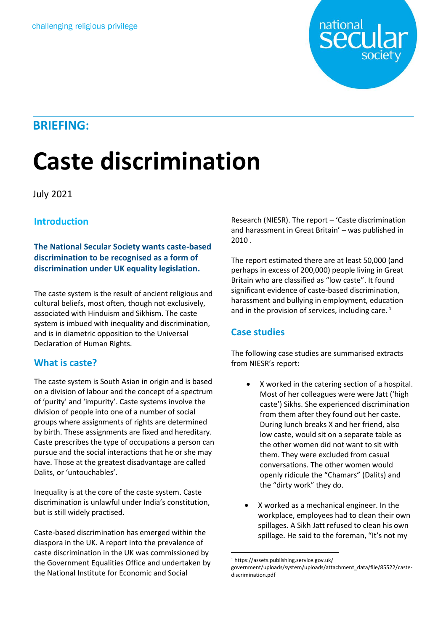

# **BRIEFING:**

# **Caste discrimination**

#### July 2021

## **Introduction**

**The National Secular Society wants caste-based discrimination to be recognised as a form of** discrimination under UK equality legislation.

The caste system is the result of ancient religious and cultural beliefs, most often, though not exclusively, associated with Hinduism and Sikhism. The caste system is imbued with inequality and discrimination, and is in diametric opposition to the Universal Declaration of Human Rights.

### **What is caste?**

The caste system is South Asian in origin and is based on a division of labour and the concept of a spectrum of 'purity' and 'impurity'. Caste systems involve the division of people into one of a number of social groups where assignments of rights are determined by birth. These assignments are fixed and hereditary. Caste prescribes the type of occupations a person can pursue and the social interactions that he or she may have. Those at the greatest disadvantage are called Dalits, or 'untouchables'.

Inequality is at the core of the caste system. Caste discrimination is unlawful under India's constitution, but is still widely practised.

Caste-based discrimination has emerged within the diaspora in the UK. A report into the prevalence of caste discrimination in the UK was commissioned by the Government Equalities Office and undertaken by the National Institute for Economic and Social

Research (NIESR). The report – 'Caste discrimination and harassment in Great Britain' – was published in 2010 .

The report estimated there are at least 50,000 (and perhaps in excess of 200,000) people living in Great Britain who are classified as "low caste". It found significant evidence of caste-based discrimination, harassment and bullying in employment, education and in the provision of services, including care.<sup>1</sup>

### **Case studies**

The following case studies are summarised extracts from NIESR's report:

- X worked in the catering section of a hospital. Most of her colleagues were were Jatt ('high caste') Sikhs. She experienced discrimination from them after they found out her caste. During lunch breaks X and her friend, also low caste, would sit on a separate table as the other women did not want to sit with them. They were excluded from casual conversations. The other women would openly ridicule the "Chamars" (Dalits) and the "dirty work" they do.
- X worked as a mechanical engineer. In the workplace, employees had to clean their own spillages. A Sikh Jatt refused to clean his own spillage. He said to the foreman, "It's not my

 <sup>1</sup> https://assets.publishing.service.gov.uk/

government/uploads/system/uploads/attachment\_data/file/85522/castediscrimination.pdf